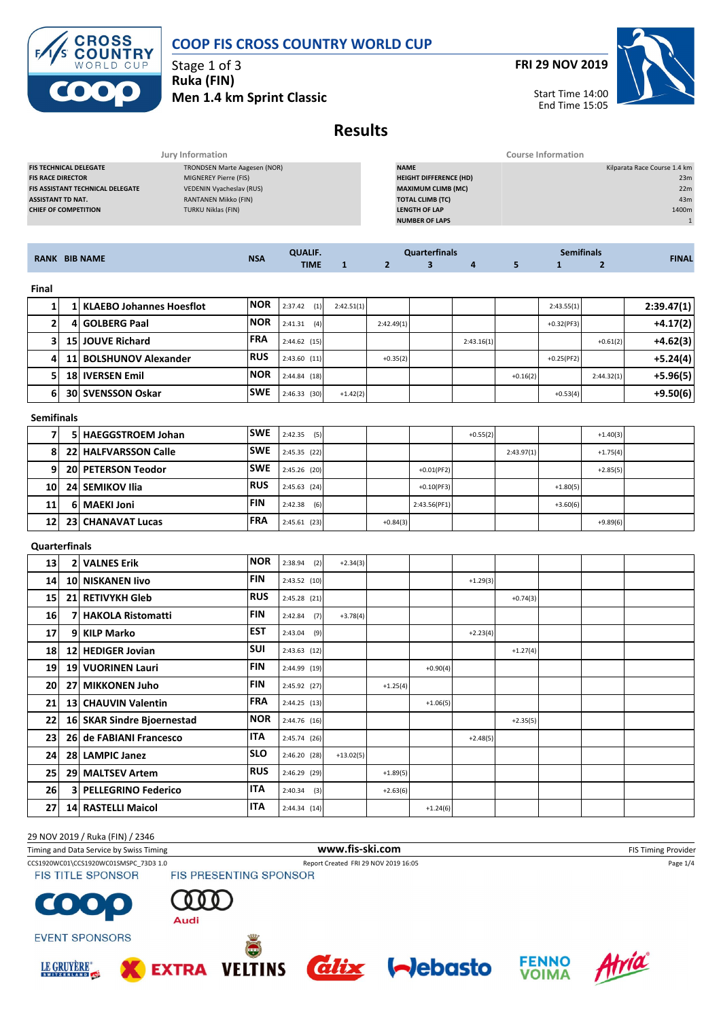

Stage 1 of 3 **Ruka (FIN) Men 1.4 km Sprint Classic** **FRI 29 NOV 2019**



Start Time 14:00 End Time 15:05

# **Results**

|                                         | Jury Information             | <b>Course Information</b>     |                              |
|-----------------------------------------|------------------------------|-------------------------------|------------------------------|
| <b>FIS TECHNICAL DELEGATE</b>           | TRONDSEN Marte Aagesen (NOR) | <b>NAME</b>                   | Kilparata Race Course 1.4 km |
| <b>FIS RACE DIRECTOR</b>                | MIGNEREY Pierre (FIS)        | <b>HEIGHT DIFFERENCE (HD)</b> | 23m                          |
| <b>FIS ASSISTANT TECHNICAL DELEGATE</b> | VEDENIN Vyacheslav (RUS)     | <b>MAXIMUM CLIMB (MC)</b>     | 22m                          |
| <b>ASSISTANT TD NAT.</b>                | RANTANEN Mikko (FIN)         | <b>TOTAL CLIMB (TC)</b>       | 43m                          |
| <b>CHIEF OF COMPETITION</b>             | TURKU Niklas (FIN)           | <b>LENGTH OF LAP</b>          | 1400m                        |
|                                         |                              | <b>NUMBER OF LAPS</b>         |                              |
|                                         |                              |                               |                              |

|                      | <b>NSA</b> | <b>QUALIF.</b> |  | <b>Quarterfinals</b> | <b>Semifinals</b> |  |  |              |
|----------------------|------------|----------------|--|----------------------|-------------------|--|--|--------------|
| <b>RANK BIB NAME</b> |            | TIME           |  |                      |                   |  |  | <b>FINAL</b> |
| Final                |            |                |  |                      |                   |  |  |              |

|    | 1 KLAEBO Johannes Hoesflot | <b>NOR</b> | 2:37.42<br>(1) | 2:42.51(1) |            |            |            | 2:43.55(1)   |            | 2:39.47(1) |
|----|----------------------------|------------|----------------|------------|------------|------------|------------|--------------|------------|------------|
|    | 4 GOLBERG Paal             | <b>NOR</b> | 2:41.31<br>(4) |            | 2:42.49(1) |            |            | $+0.32(PF3)$ |            | $+4.17(2)$ |
|    | <b>15 JOUVE Richard</b>    | <b>FRA</b> | 2:44.62(15)    |            |            | 2:43.16(1) |            |              | $+0.61(2)$ | $+4.62(3)$ |
| 4  | 11 BOLSHUNOV Alexander     | <b>RUS</b> | 2:43.60(11)    |            | $+0.35(2)$ |            |            | $+0.25(PF2)$ |            | $+5.24(4)$ |
|    | 18 <b>IVERSEN</b> Emil     | <b>NOR</b> | 2:44.84(18)    |            |            |            | $+0.16(2)$ |              | 2:44.32(1) | $+5.96(5)$ |
| 61 | <b>30 SVENSSON Oskar</b>   | <b>SWE</b> | 2:46.33(30)    | $+1.42(2)$ |            |            |            | $+0.53(4)$   |            | $+9.50(6)$ |

### **Semifinals**

|    | 5 HAEGGSTROEM Johan       | <b>SWE</b> | 2:42.35<br>(5) |            |              | $+0.55(2)$ |            |            | $+1.40(3)$ |  |
|----|---------------------------|------------|----------------|------------|--------------|------------|------------|------------|------------|--|
|    | 22 HALFVARSSON Calle      | <b>SWE</b> | 2:45.35(22)    |            |              |            | 2:43.97(1) |            | $+1.75(4)$ |  |
| 91 | <b>20 PETERSON Teodor</b> | <b>SWE</b> | 2:45.26 (20)   |            | $+0.01(PF2)$ |            |            |            | $+2.85(5)$ |  |
| 10 | 24 SEMIKOV Ilia           | <b>RUS</b> | $2:45.63$ (24) |            | $+0.10(PF3)$ |            |            | $+1.80(5)$ |            |  |
| 11 | 6   MAEKI Joni            | <b>FIN</b> | 2:42.38<br>(6) |            | 2:43.56(PF1) |            |            | $+3.60(6)$ |            |  |
| 12 | <b>23 CHANAVAT Lucas</b>  | <b>FRA</b> | 2:45.61(23)    | $+0.84(3)$ |              |            |            |            | $+9.89(6)$ |  |

#### **Quarterfinals**

| 13              |    | <b>2 VALNES Erik</b>       | <b>NOR</b> | 2:38.94<br>(2) | $+2.34(3)$  |            |            |            |            |  |  |
|-----------------|----|----------------------------|------------|----------------|-------------|------------|------------|------------|------------|--|--|
| 14 <sup>1</sup> |    | 10 NISKANEN Iivo           | <b>FIN</b> | 2:43.52 (10)   |             |            |            | $+1.29(3)$ |            |  |  |
| <b>15</b>       |    | 21 RETIVYKH Gleb           | <b>RUS</b> | 2:45.28 (21)   |             |            |            |            | $+0.74(3)$ |  |  |
| 16              |    | 7 HAKOLA Ristomatti        | <b>FIN</b> | (7)<br>2:42.84 | $+3.78(4)$  |            |            |            |            |  |  |
| 17              | 91 | KILP Marko                 | <b>EST</b> | $2:43.04$ (9)  |             |            |            | $+2.23(4)$ |            |  |  |
| 18              |    | 12 HEDIGER Jovian          | <b>SUI</b> | 2:43.63(12)    |             |            |            |            | $+1.27(4)$ |  |  |
| 19              |    | <b>19 VUORINEN Lauri</b>   | <b>FIN</b> | 2:44.99 (19)   |             |            | $+0.90(4)$ |            |            |  |  |
| 20              |    | 27 MIKKONEN Juho           | <b>FIN</b> | 2:45.92 (27)   |             | $+1.25(4)$ |            |            |            |  |  |
| 21              |    | 13 CHAUVIN Valentin        | <b>FRA</b> | 2:44.25 (13)   |             |            | $+1.06(5)$ |            |            |  |  |
| 22              |    | 16 SKAR Sindre Bjoernestad | <b>NOR</b> | 2:44.76 (16)   |             |            |            |            | $+2.35(5)$ |  |  |
| 23              |    | 26 de FABIANI Francesco    | <b>ITA</b> | 2:45.74 (26)   |             |            |            | $+2.48(5)$ |            |  |  |
| 24              |    | 28 LAMPIC Janez            | <b>SLO</b> | 2:46.20 (28)   | $+13.02(5)$ |            |            |            |            |  |  |
| 25              |    | 29 MALTSEV Artem           | <b>RUS</b> | 2:46.29 (29)   |             | $+1.89(5)$ |            |            |            |  |  |
| 26              |    | 3 PELLEGRINO Federico      | <b>ITA</b> | $2:40.34$ (3)  |             | $+2.63(6)$ |            |            |            |  |  |
| 27              |    | 14 RASTELLI Maicol         | <b>ITA</b> | 2:44.34 (14)   |             |            | $+1.24(6)$ |            |            |  |  |

### 29 NOV 2019 / Ruka (FIN) / 2346 Timing and Data Service by Swiss Timing **WWW.fis-Ski.com www.fis-ski.com** FIS Timing Provider CCS1920WC01\CCS1920WC01SMSPC\_73D3 1.0 Report Created FRI 29 NOV 2019 16:05 Page 1/4<br>
FIS TITLE SPONSOR FIS PRESENTING SPONSOR **FIS TITLE SPONSOR**  $\Omega$  $\bullet$ Audi **EVENT SPONSORS**









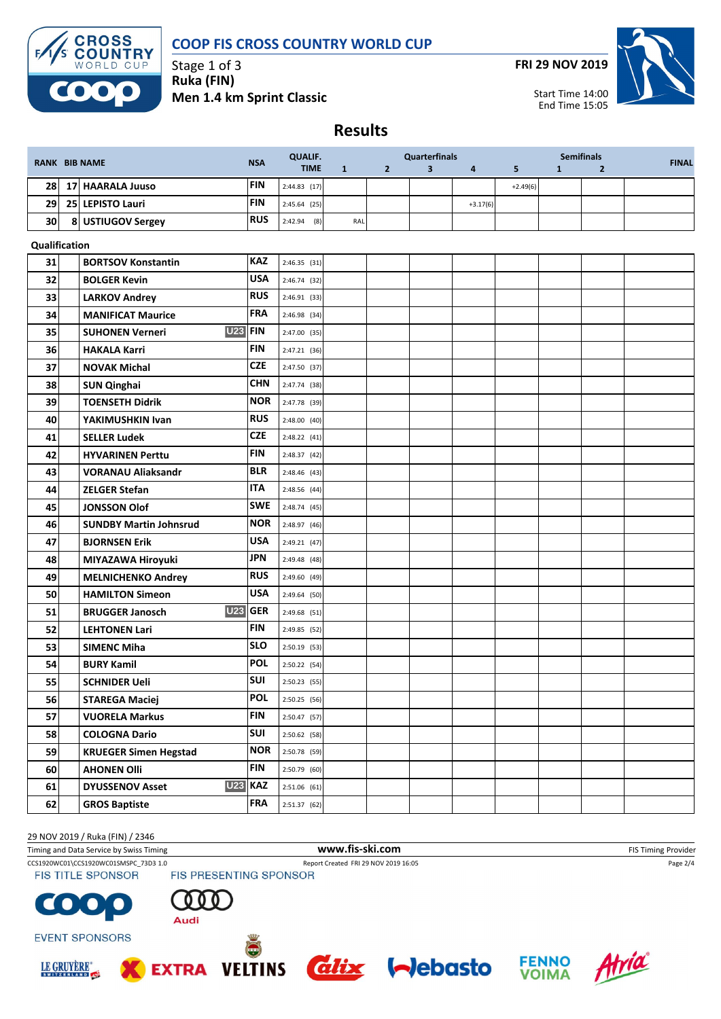

Stage 1 of 3 **Ruka (FIN) Men 1.4 km Sprint Classic** **FRI 29 NOV 2019**



Start Time 14:00 End Time 15:05

**Results**

| <b>RANK BIB NAME</b> |                                          | <b>NSA</b> | <b>QUALIF.</b> |     |                | <b>Quarterfinals</b>    |                         |            |              | <b>Semifinals</b> | <b>FINAL</b> |
|----------------------|------------------------------------------|------------|----------------|-----|----------------|-------------------------|-------------------------|------------|--------------|-------------------|--------------|
|                      |                                          |            | <b>TIME</b>    | 1   | $\overline{2}$ | $\overline{\mathbf{3}}$ | $\overline{\mathbf{a}}$ | 5          | $\mathbf{1}$ | $\overline{2}$    |              |
| 28                   | 17 HAARALA Juuso                         | <b>FIN</b> | $2:44.83$ (17) |     |                |                         |                         | $+2.49(6)$ |              |                   |              |
| 29                   | 25 LEPISTO Lauri                         | <b>FIN</b> | 2:45.64 (25)   |     |                |                         | $+3.17(6)$              |            |              |                   |              |
| 30                   | 8 USTIUGOV Sergey                        | <b>RUS</b> | $2:42.94$ (8)  | RAL |                |                         |                         |            |              |                   |              |
| Qualification        |                                          |            |                |     |                |                         |                         |            |              |                   |              |
| 31                   | <b>BORTSOV Konstantin</b>                | <b>KAZ</b> | 2:46.35(31)    |     |                |                         |                         |            |              |                   |              |
| 32                   | <b>BOLGER Kevin</b>                      | <b>USA</b> | 2:46.74 (32)   |     |                |                         |                         |            |              |                   |              |
| 33                   | <b>LARKOV Andrey</b>                     | <b>RUS</b> | 2:46.91 (33)   |     |                |                         |                         |            |              |                   |              |
| 34                   | <b>MANIFICAT Maurice</b>                 | <b>FRA</b> | $2:46.98$ (34) |     |                |                         |                         |            |              |                   |              |
| 35                   | <b>U23</b><br><b>SUHONEN Verneri</b>     | <b>FIN</b> | 2:47.00 (35)   |     |                |                         |                         |            |              |                   |              |
| 36                   | <b>HAKALA Karri</b>                      | <b>FIN</b> | 2:47.21 (36)   |     |                |                         |                         |            |              |                   |              |
| 37                   | <b>NOVAK Michal</b>                      | <b>CZE</b> | 2:47.50 (37)   |     |                |                         |                         |            |              |                   |              |
| 38                   | <b>SUN Qinghai</b>                       | <b>CHN</b> | 2:47.74 (38)   |     |                |                         |                         |            |              |                   |              |
| 39                   | <b>TOENSETH Didrik</b>                   | <b>NOR</b> | 2:47.78 (39)   |     |                |                         |                         |            |              |                   |              |
| 40                   | YAKIMUSHKIN Ivan                         | <b>RUS</b> | 2:48.00 (40)   |     |                |                         |                         |            |              |                   |              |
| 41                   | <b>SELLER Ludek</b>                      | <b>CZE</b> | 2:48.22 (41)   |     |                |                         |                         |            |              |                   |              |
| 42                   | <b>HYVARINEN Perttu</b>                  | <b>FIN</b> | 2:48.37(42)    |     |                |                         |                         |            |              |                   |              |
| 43                   | <b>VORANAU Aliaksandr</b>                | <b>BLR</b> | 2:48.46 (43)   |     |                |                         |                         |            |              |                   |              |
| 44                   | <b>ZELGER Stefan</b>                     | <b>ITA</b> | 2:48.56 (44)   |     |                |                         |                         |            |              |                   |              |
| 45                   | <b>JONSSON Olof</b>                      | <b>SWE</b> | 2:48.74 (45)   |     |                |                         |                         |            |              |                   |              |
| 46                   | <b>SUNDBY Martin Johnsrud</b>            | <b>NOR</b> | 2:48.97 (46)   |     |                |                         |                         |            |              |                   |              |
| 47                   | <b>BJORNSEN Erik</b>                     | <b>USA</b> | 2:49.21(47)    |     |                |                         |                         |            |              |                   |              |
| 48                   | MIYAZAWA Hiroyuki                        | <b>JPN</b> | 2:49.48 (48)   |     |                |                         |                         |            |              |                   |              |
| 49                   | <b>MELNICHENKO Andrey</b>                | <b>RUS</b> | 2:49.60 (49)   |     |                |                         |                         |            |              |                   |              |
| 50                   | <b>HAMILTON Simeon</b>                   | <b>USA</b> | 2:49.64 (50)   |     |                |                         |                         |            |              |                   |              |
| 51                   | <b>U23</b><br><b>BRUGGER Janosch</b>     | <b>GER</b> | 2:49.68 (51)   |     |                |                         |                         |            |              |                   |              |
| 52                   | <b>LEHTONEN Lari</b>                     | <b>FIN</b> | 2:49.85 (52)   |     |                |                         |                         |            |              |                   |              |
| 53                   | <b>SIMENC Miha</b>                       | <b>SLO</b> | 2:50.19 (53)   |     |                |                         |                         |            |              |                   |              |
| 54                   | <b>BURY Kamil</b>                        | <b>POL</b> | 2:50.22 (54)   |     |                |                         |                         |            |              |                   |              |
| 55                   | <b>SCHNIDER Ueli</b>                     | SUI        | 2:50.23 (55)   |     |                |                         |                         |            |              |                   |              |
| 56                   | <b>STAREGA Maciej</b>                    | <b>POL</b> | 2:50.25 (56)   |     |                |                         |                         |            |              |                   |              |
| 57                   | <b>VUORELA Markus</b>                    | <b>FIN</b> | 2:50.47 (57)   |     |                |                         |                         |            |              |                   |              |
| 58                   | <b>COLOGNA Dario</b>                     | SUI        | 2:50.62 (58)   |     |                |                         |                         |            |              |                   |              |
| 59                   | <b>KRUEGER Simen Hegstad</b>             | <b>NOR</b> | 2:50.78 (59)   |     |                |                         |                         |            |              |                   |              |
| 60                   | <b>AHONEN Olli</b>                       | <b>FIN</b> | 2:50.79 (60)   |     |                |                         |                         |            |              |                   |              |
| 61                   | <b>U23 KAZ</b><br><b>DYUSSENOV Asset</b> |            | $2:51.06$ (61) |     |                |                         |                         |            |              |                   |              |
| 62                   | <b>GROS Baptiste</b>                     | <b>FRA</b> | 2:51.37(62)    |     |                |                         |                         |            |              |                   |              |

29 NOV 2019 / Ruka (FIN) / 2346

Timing and Data Service by Swiss Timing **WWW.fis-Ski.com www.fis-ski.com** FIS Timing Provider

CCS1920WC01\CCS1920WC01SMSPC\_73D3 1.0 Report Created FRI 29 NOV 2019 16:05 Page 2/4<br>
FIS TITLE SPONSOR FIS PRESENTING SPONSOR

**FIS TITLE SPONSOR** 



**EXTRA** 

**EVENT SPONSORS** 



 $\bullet$ 







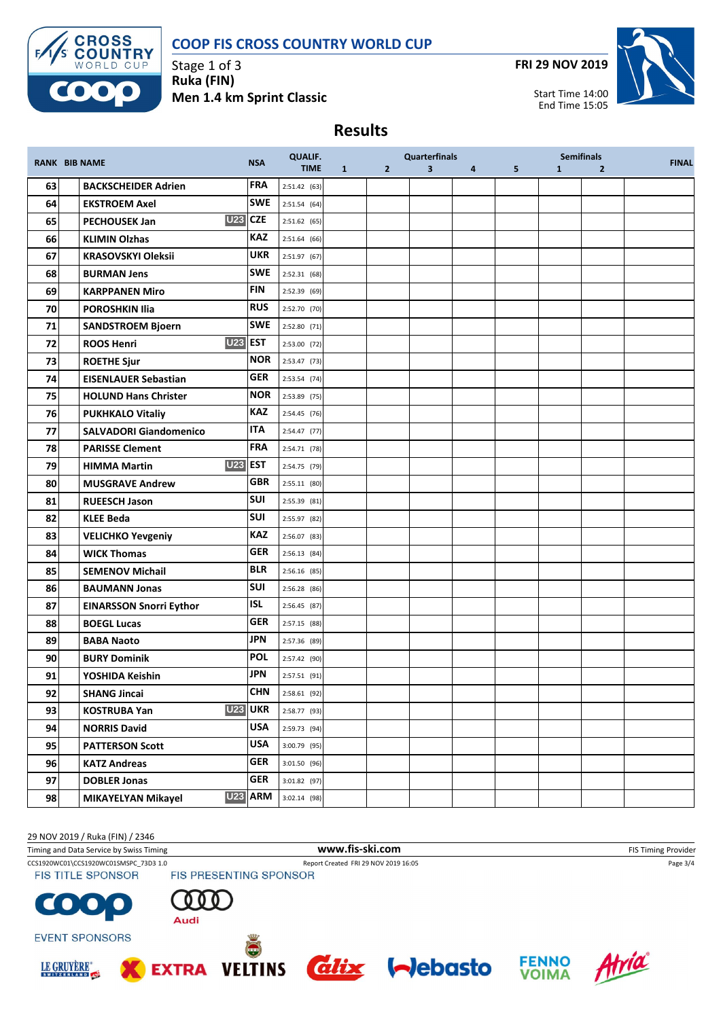

Stage 1 of 3 **Ruka (FIN) Men 1.4 km Sprint Classic** **FRI 29 NOV 2019**



Start Time 14:00 End Time 15:05

## **Results**

|    | <b>RANK BIB NAME</b>                | <b>NSA</b>     | <b>QUALIF.</b> |              |              | <b>Quarterfinals</b>    |                |   |              | <b>Semifinals</b> | <b>FINAL</b> |
|----|-------------------------------------|----------------|----------------|--------------|--------------|-------------------------|----------------|---|--------------|-------------------|--------------|
|    |                                     |                | <b>TIME</b>    | $\mathbf{1}$ | $\mathbf{2}$ | $\overline{\mathbf{3}}$ | $\overline{4}$ | 5 | $\mathbf{1}$ | $\overline{2}$    |              |
| 63 | <b>BACKSCHEIDER Adrien</b>          | FRA            | 2:51.42 (63)   |              |              |                         |                |   |              |                   |              |
| 64 | <b>EKSTROEM Axel</b>                | <b>SWE</b>     | 2:51.54 (64)   |              |              |                         |                |   |              |                   |              |
| 65 | <b>U23</b><br><b>PECHOUSEK Jan</b>  | <b>CZE</b>     | 2:51.62(65)    |              |              |                         |                |   |              |                   |              |
| 66 | <b>KLIMIN Olzhas</b>                | <b>KAZ</b>     | 2:51.64(66)    |              |              |                         |                |   |              |                   |              |
| 67 | <b>KRASOVSKYI Oleksii</b>           | <b>UKR</b>     | 2:51.97 (67)   |              |              |                         |                |   |              |                   |              |
| 68 | <b>BURMAN Jens</b>                  | <b>SWE</b>     | 2:52.31(68)    |              |              |                         |                |   |              |                   |              |
| 69 | <b>KARPPANEN Miro</b>               | <b>FIN</b>     | 2:52.39 (69)   |              |              |                         |                |   |              |                   |              |
| 70 | <b>POROSHKIN Ilia</b>               | <b>RUS</b>     | 2:52.70 (70)   |              |              |                         |                |   |              |                   |              |
| 71 | <b>SANDSTROEM Bjoern</b>            | <b>SWE</b>     | 2:52.80 (71)   |              |              |                         |                |   |              |                   |              |
| 72 | <b>U23 EST</b><br><b>ROOS Henri</b> |                | 2:53.00 (72)   |              |              |                         |                |   |              |                   |              |
| 73 | <b>ROETHE Sjur</b>                  | <b>NOR</b>     | 2:53.47 (73)   |              |              |                         |                |   |              |                   |              |
| 74 | <b>EISENLAUER Sebastian</b>         | <b>GER</b>     | 2:53.54 (74)   |              |              |                         |                |   |              |                   |              |
| 75 | <b>HOLUND Hans Christer</b>         | <b>NOR</b>     | 2:53.89 (75)   |              |              |                         |                |   |              |                   |              |
| 76 | <b>PUKHKALO Vitaliy</b>             | <b>KAZ</b>     | 2:54.45 (76)   |              |              |                         |                |   |              |                   |              |
| 77 | <b>SALVADORI Giandomenico</b>       | <b>ITA</b>     | $2:54.47$ (77) |              |              |                         |                |   |              |                   |              |
| 78 | <b>PARISSE Clement</b>              | <b>FRA</b>     | 2:54.71 (78)   |              |              |                         |                |   |              |                   |              |
| 79 | <b>U23</b><br><b>HIMMA Martin</b>   | <b>EST</b>     | 2:54.75 (79)   |              |              |                         |                |   |              |                   |              |
| 80 | <b>MUSGRAVE Andrew</b>              | <b>GBR</b>     | 2:55.11 (80)   |              |              |                         |                |   |              |                   |              |
| 81 | <b>RUEESCH Jason</b>                | <b>SUI</b>     | 2:55.39 (81)   |              |              |                         |                |   |              |                   |              |
| 82 | <b>KLEE Beda</b>                    | <b>SUI</b>     | 2:55.97 (82)   |              |              |                         |                |   |              |                   |              |
| 83 | <b>VELICHKO Yevgeniy</b>            | <b>KAZ</b>     | 2:56.07 (83)   |              |              |                         |                |   |              |                   |              |
| 84 | <b>WICK Thomas</b>                  | <b>GER</b>     | 2:56.13(84)    |              |              |                         |                |   |              |                   |              |
| 85 | <b>SEMENOV Michail</b>              | <b>BLR</b>     | 2:56.16 (85)   |              |              |                         |                |   |              |                   |              |
| 86 | <b>BAUMANN Jonas</b>                | <b>SUI</b>     | 2:56.28 (86)   |              |              |                         |                |   |              |                   |              |
| 87 | <b>EINARSSON Snorri Eythor</b>      | ISL            | 2:56.45 (87)   |              |              |                         |                |   |              |                   |              |
| 88 | <b>BOEGL Lucas</b>                  | <b>GER</b>     | 2:57.15 (88)   |              |              |                         |                |   |              |                   |              |
| 89 | <b>BABA Naoto</b>                   | <b>JPN</b>     | 2:57.36 (89)   |              |              |                         |                |   |              |                   |              |
| 90 | <b>BURY Dominik</b>                 | <b>POL</b>     | 2:57.42 (90)   |              |              |                         |                |   |              |                   |              |
| 91 | YOSHIDA Keishin                     | <b>JPN</b>     | 2:57.51 (91)   |              |              |                         |                |   |              |                   |              |
| 92 | <b>SHANG Jincai</b>                 | CHN            | 2:58.61(92)    |              |              |                         |                |   |              |                   |              |
| 93 | <b>KOSTRUBA Yan</b>                 | <b>U23 UKR</b> | 2:58.77 (93)   |              |              |                         |                |   |              |                   |              |
| 94 | <b>NORRIS David</b>                 | <b>USA</b>     | 2:59.73 (94)   |              |              |                         |                |   |              |                   |              |
| 95 | <b>PATTERSON Scott</b>              | <b>USA</b>     | 3:00.79 (95)   |              |              |                         |                |   |              |                   |              |
| 96 | <b>KATZ Andreas</b>                 | <b>GER</b>     | 3:01.50 (96)   |              |              |                         |                |   |              |                   |              |
| 97 | <b>DOBLER Jonas</b>                 | <b>GER</b>     | 3:01.82 (97)   |              |              |                         |                |   |              |                   |              |
| 98 | <b>MIKAYELYAN Mikayel</b>           | <b>U23 ARM</b> | 3:02.14 (98)   |              |              |                         |                |   |              |                   |              |

29 NOV 2019 / Ruka (FIN) / 2346 Timing and Data Service by Swiss Timing **WWW.fis-Ski.com www.fis-ski.com** FIS Timing Provider CCS1920WC01\CCS1920WC01SMSPC\_73D3 1.0 Report Created FRI 29 NOV 2019 16:05 Page 3/4<br>
FIS TITLE SPONSOR FIS PRESENTING SPONSOR **FIS TITLE SPONSOR**  $\bullet$ Audi **EVENT SPONSORS** Atria **FENNO**<br>VOIMA *<u>alix</u> <u>Alebasto</u>* LE GRUYÈRE® **VELTINS EXTRA**